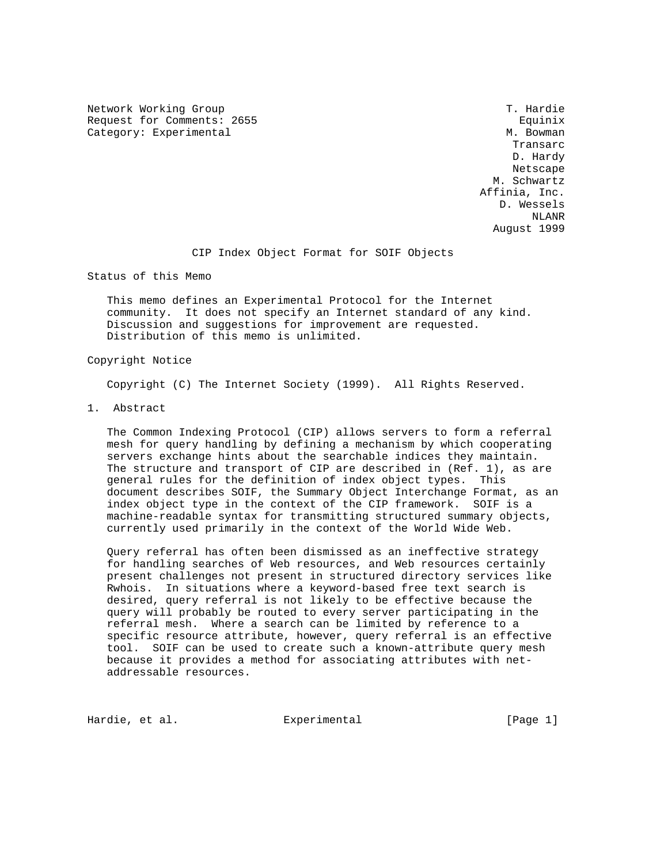Network Working Group T. Hardie Request for Comments: 2655 Equinix Category: Experimental M. Bowman

**Transarc Transarc Transarc Transarc**  D. Hardy Netscape and the state of the state of the state of the state of the state of the state of the state of the state of the state of the state of the state of the state of the state of the state of the state of the state of t M. Schwartz Affinia, Inc. D. Wessels NLANR August 1999

CIP Index Object Format for SOIF Objects

Status of this Memo

 This memo defines an Experimental Protocol for the Internet community. It does not specify an Internet standard of any kind. Discussion and suggestions for improvement are requested. Distribution of this memo is unlimited.

## Copyright Notice

Copyright (C) The Internet Society (1999). All Rights Reserved.

1. Abstract

 The Common Indexing Protocol (CIP) allows servers to form a referral mesh for query handling by defining a mechanism by which cooperating servers exchange hints about the searchable indices they maintain. The structure and transport of CIP are described in (Ref. 1), as are general rules for the definition of index object types. This document describes SOIF, the Summary Object Interchange Format, as an index object type in the context of the CIP framework. SOIF is a machine-readable syntax for transmitting structured summary objects, currently used primarily in the context of the World Wide Web.

 Query referral has often been dismissed as an ineffective strategy for handling searches of Web resources, and Web resources certainly present challenges not present in structured directory services like Rwhois. In situations where a keyword-based free text search is desired, query referral is not likely to be effective because the query will probably be routed to every server participating in the referral mesh. Where a search can be limited by reference to a specific resource attribute, however, query referral is an effective tool. SOIF can be used to create such a known-attribute query mesh because it provides a method for associating attributes with net addressable resources.

Hardie, et al. et al. Experimental (Page 1)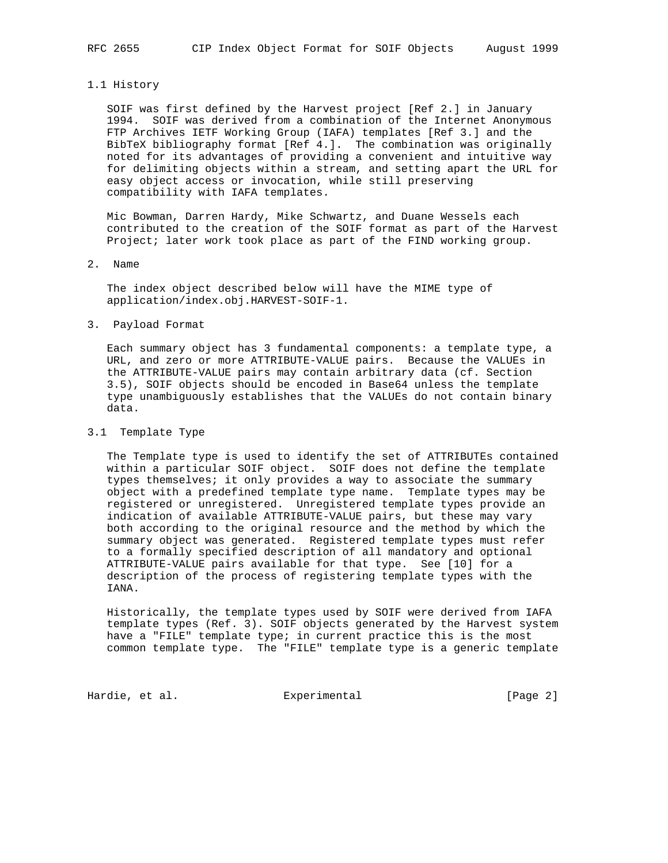## 1.1 History

 SOIF was first defined by the Harvest project [Ref 2.] in January 1994. SOIF was derived from a combination of the Internet Anonymous FTP Archives IETF Working Group (IAFA) templates [Ref 3.] and the BibTeX bibliography format [Ref 4.]. The combination was originally noted for its advantages of providing a convenient and intuitive way for delimiting objects within a stream, and setting apart the URL for easy object access or invocation, while still preserving compatibility with IAFA templates.

 Mic Bowman, Darren Hardy, Mike Schwartz, and Duane Wessels each contributed to the creation of the SOIF format as part of the Harvest Project; later work took place as part of the FIND working group.

## 2. Name

 The index object described below will have the MIME type of application/index.obj.HARVEST-SOIF-1.

### 3. Payload Format

 Each summary object has 3 fundamental components: a template type, a URL, and zero or more ATTRIBUTE-VALUE pairs. Because the VALUEs in the ATTRIBUTE-VALUE pairs may contain arbitrary data (cf. Section 3.5), SOIF objects should be encoded in Base64 unless the template type unambiguously establishes that the VALUEs do not contain binary data.

# 3.1 Template Type

 The Template type is used to identify the set of ATTRIBUTEs contained within a particular SOIF object. SOIF does not define the template types themselves; it only provides a way to associate the summary object with a predefined template type name. Template types may be registered or unregistered. Unregistered template types provide an indication of available ATTRIBUTE-VALUE pairs, but these may vary both according to the original resource and the method by which the summary object was generated. Registered template types must refer to a formally specified description of all mandatory and optional ATTRIBUTE-VALUE pairs available for that type. See [10] for a description of the process of registering template types with the IANA.

 Historically, the template types used by SOIF were derived from IAFA template types (Ref. 3). SOIF objects generated by the Harvest system have a "FILE" template type; in current practice this is the most common template type. The "FILE" template type is a generic template

Hardie, et al. Subsection Experimental Frage 21 [Page 2]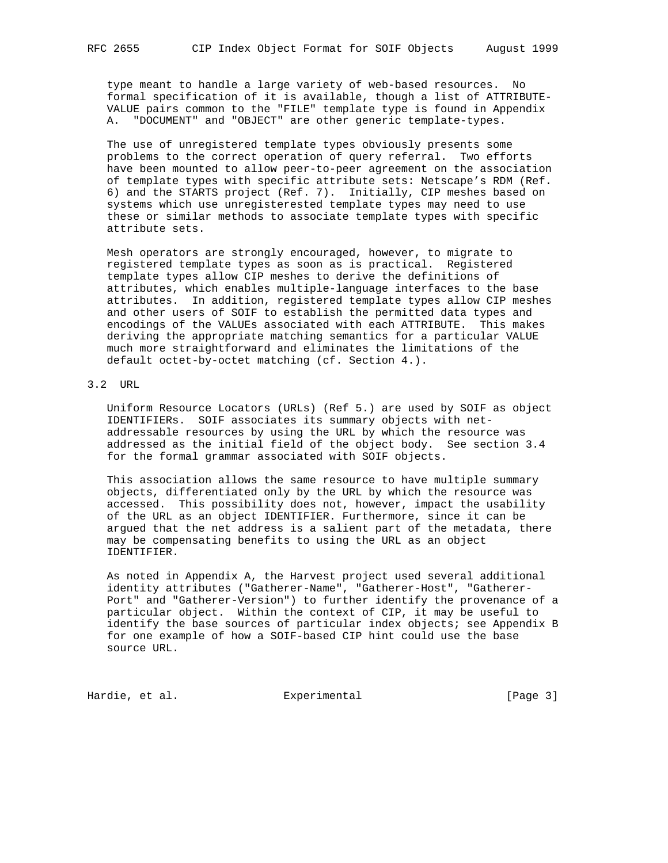type meant to handle a large variety of web-based resources. No formal specification of it is available, though a list of ATTRIBUTE- VALUE pairs common to the "FILE" template type is found in Appendix A. "DOCUMENT" and "OBJECT" are other generic template-types.

 The use of unregistered template types obviously presents some problems to the correct operation of query referral. Two efforts have been mounted to allow peer-to-peer agreement on the association of template types with specific attribute sets: Netscape's RDM (Ref. 6) and the STARTS project (Ref. 7). Initially, CIP meshes based on systems which use unregisterested template types may need to use these or similar methods to associate template types with specific attribute sets.

 Mesh operators are strongly encouraged, however, to migrate to registered template types as soon as is practical. Registered template types allow CIP meshes to derive the definitions of attributes, which enables multiple-language interfaces to the base attributes. In addition, registered template types allow CIP meshes and other users of SOIF to establish the permitted data types and encodings of the VALUEs associated with each ATTRIBUTE. This makes deriving the appropriate matching semantics for a particular VALUE much more straightforward and eliminates the limitations of the default octet-by-octet matching (cf. Section 4.).

# 3.2 URL

 Uniform Resource Locators (URLs) (Ref 5.) are used by SOIF as object IDENTIFIERs. SOIF associates its summary objects with net addressable resources by using the URL by which the resource was addressed as the initial field of the object body. See section 3.4 for the formal grammar associated with SOIF objects.

 This association allows the same resource to have multiple summary objects, differentiated only by the URL by which the resource was accessed. This possibility does not, however, impact the usability of the URL as an object IDENTIFIER. Furthermore, since it can be argued that the net address is a salient part of the metadata, there may be compensating benefits to using the URL as an object IDENTIFIER.

 As noted in Appendix A, the Harvest project used several additional identity attributes ("Gatherer-Name", "Gatherer-Host", "Gatherer- Port" and "Gatherer-Version") to further identify the provenance of a particular object. Within the context of CIP, it may be useful to identify the base sources of particular index objects; see Appendix B for one example of how a SOIF-based CIP hint could use the base source URL.

Hardie, et al. Subsection Experimental Experimental [Page 3]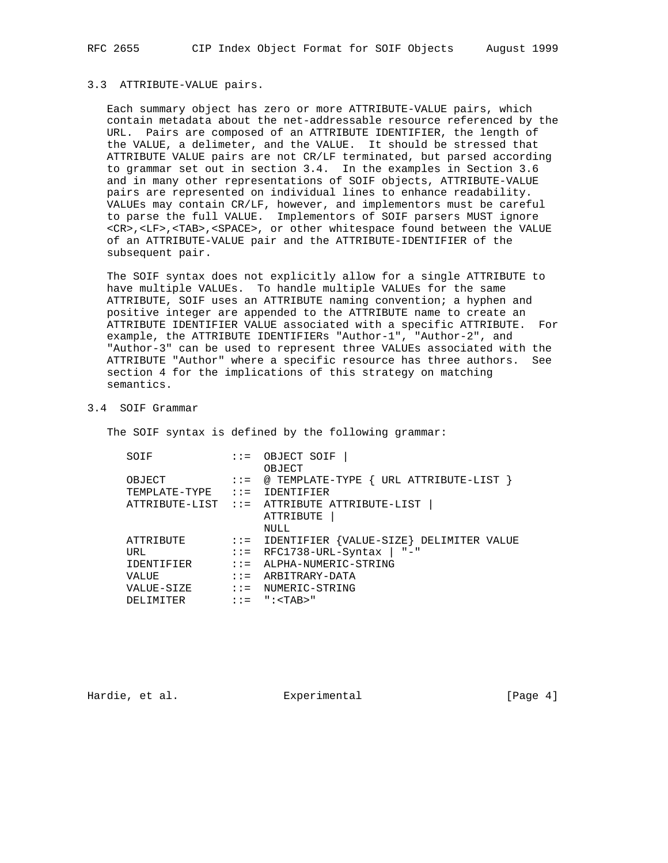## 3.3 ATTRIBUTE-VALUE pairs.

 Each summary object has zero or more ATTRIBUTE-VALUE pairs, which contain metadata about the net-addressable resource referenced by the URL. Pairs are composed of an ATTRIBUTE IDENTIFIER, the length of the VALUE, a delimeter, and the VALUE. It should be stressed that ATTRIBUTE VALUE pairs are not CR/LF terminated, but parsed according to grammar set out in section 3.4. In the examples in Section 3.6 and in many other representations of SOIF objects, ATTRIBUTE-VALUE pairs are represented on individual lines to enhance readability. VALUEs may contain CR/LF, however, and implementors must be careful to parse the full VALUE. Implementors of SOIF parsers MUST ignore <CR>,<LF>,<TAB>,<SPACE>, or other whitespace found between the VALUE of an ATTRIBUTE-VALUE pair and the ATTRIBUTE-IDENTIFIER of the subsequent pair.

 The SOIF syntax does not explicitly allow for a single ATTRIBUTE to have multiple VALUEs. To handle multiple VALUEs for the same ATTRIBUTE, SOIF uses an ATTRIBUTE naming convention; a hyphen and positive integer are appended to the ATTRIBUTE name to create an ATTRIBUTE IDENTIFIER VALUE associated with a specific ATTRIBUTE. For example, the ATTRIBUTE IDENTIFIERs "Author-1", "Author-2", and "Author-3" can be used to represent three VALUEs associated with the ATTRIBUTE "Author" where a specific resource has three authors. See section 4 for the implications of this strategy on matching semantics.

## 3.4 SOIF Grammar

The SOIF syntax is defined by the following grammar:

| SOIF                           | $\mathbf{1} \mathbf{1} =$     | OBJECT SOIF                                                       |
|--------------------------------|-------------------------------|-------------------------------------------------------------------|
|                                |                               | OBJECT                                                            |
| OBJECT                         |                               | $::= \text{\Leftrightarrow}$ TEMPLATE-TYPE { URL ATTRIBUTE-LIST } |
| $TEMPLATE-TYPE$ ::= IDENTIFIER |                               |                                                                   |
|                                |                               | ATTRIBUTE-LIST ::= ATTRIBUTE ATTRIBUTE-LIST                       |
|                                |                               | ATTRIBUTE                                                         |
|                                |                               | NULL                                                              |
| ATTRIBUTE                      |                               | $::=$ IDENTIFIER $\{VALUE - SIZE\}$ DELIMITER VALUE               |
| URL                            | $\therefore$ $\therefore$ $=$ | RFC1738-URL-Syntax   "-"                                          |
| IDENTIFIER                     | $\mathbf{1} \mathbf{1} =$     | ALPHA-NUMERIC-STRING                                              |
| VALUE                          | $\mathbf{1} \mathbf{1} =$     | ARBITRARY-DATA                                                    |
| VALUE-SIZE                     | $\mathbf{1} \mathbf{1} =$     | NUMERIC-STRING                                                    |
| DELIMITER                      | $\mathbf{1} \mathbf{1} =$     | ": <tab>"</tab>                                                   |
|                                |                               |                                                                   |

Hardie, et al. Experimental [Page 4]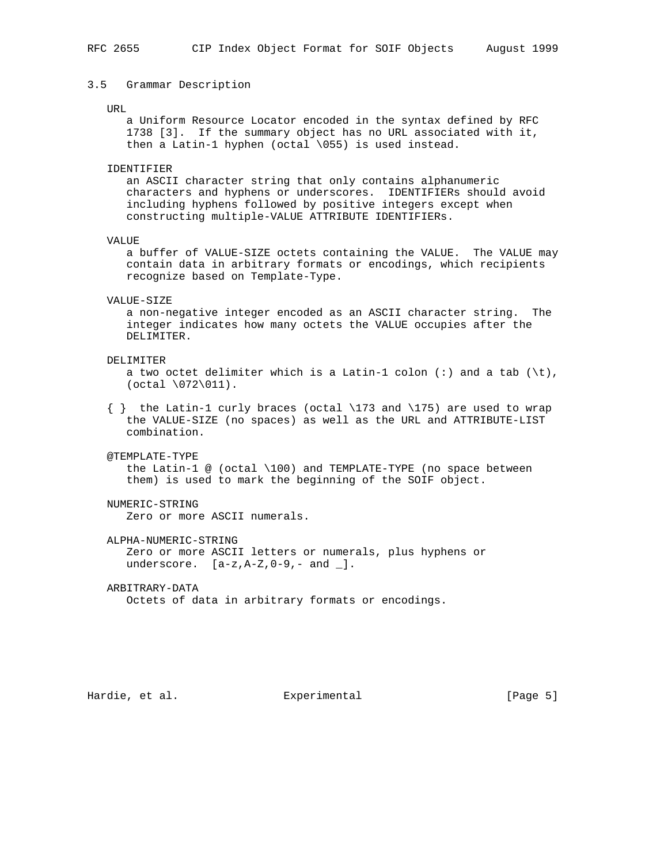## 3.5 Grammar Description

#### TIRT.

 a Uniform Resource Locator encoded in the syntax defined by RFC 1738 [3]. If the summary object has no URL associated with it, then a Latin-1 hyphen (octal \055) is used instead.

IDENTIFIER

 an ASCII character string that only contains alphanumeric characters and hyphens or underscores. IDENTIFIERs should avoid including hyphens followed by positive integers except when constructing multiple-VALUE ATTRIBUTE IDENTIFIERs.

VALUE

 a buffer of VALUE-SIZE octets containing the VALUE. The VALUE may contain data in arbitrary formats or encodings, which recipients recognize based on Template-Type.

#### VALUE-SIZE

 a non-negative integer encoded as an ASCII character string. The integer indicates how many octets the VALUE occupies after the DELIMITER.

### DELIMITER

 a two octet delimiter which is a Latin-1 colon (:) and a tab (\t),  $(octal \ 072\011).$ 

 { } the Latin-1 curly braces (octal \173 and \175) are used to wrap the VALUE-SIZE (no spaces) as well as the URL and ATTRIBUTE-LIST combination.

## @TEMPLATE-TYPE

 the Latin-1 @ (octal \100) and TEMPLATE-TYPE (no space between them) is used to mark the beginning of the SOIF object.

## NUMERIC-STRING

Zero or more ASCII numerals.

ALPHA-NUMERIC-STRING

 Zero or more ASCII letters or numerals, plus hyphens or underscore.  $[a-z, A-Z, 0-9, - and ]$ .

ARBITRARY-DATA

Octets of data in arbitrary formats or encodings.

Hardie, et al. Subsection Experimental Fage 5]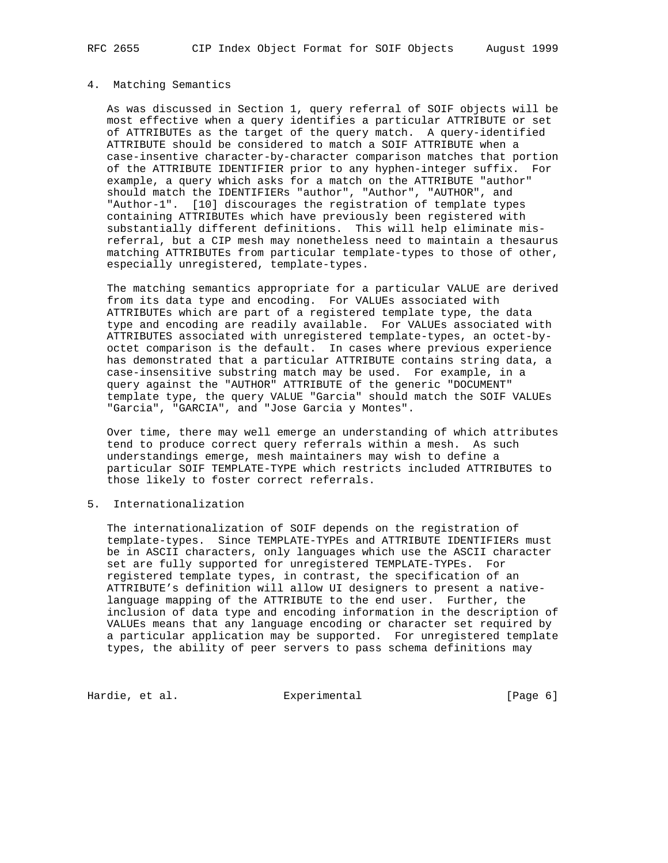## 4. Matching Semantics

 As was discussed in Section 1, query referral of SOIF objects will be most effective when a query identifies a particular ATTRIBUTE or set of ATTRIBUTEs as the target of the query match. A query-identified ATTRIBUTE should be considered to match a SOIF ATTRIBUTE when a case-insentive character-by-character comparison matches that portion of the ATTRIBUTE IDENTIFIER prior to any hyphen-integer suffix. For example, a query which asks for a match on the ATTRIBUTE "author" should match the IDENTIFIERs "author", "Author", "AUTHOR", and "Author-1". [10] discourages the registration of template types containing ATTRIBUTEs which have previously been registered with substantially different definitions. This will help eliminate mis referral, but a CIP mesh may nonetheless need to maintain a thesaurus matching ATTRIBUTEs from particular template-types to those of other, especially unregistered, template-types.

 The matching semantics appropriate for a particular VALUE are derived from its data type and encoding. For VALUEs associated with ATTRIBUTEs which are part of a registered template type, the data type and encoding are readily available. For VALUEs associated with ATTRIBUTES associated with unregistered template-types, an octet-by octet comparison is the default. In cases where previous experience has demonstrated that a particular ATTRIBUTE contains string data, a case-insensitive substring match may be used. For example, in a query against the "AUTHOR" ATTRIBUTE of the generic "DOCUMENT" template type, the query VALUE "Garcia" should match the SOIF VALUEs "Garcia", "GARCIA", and "Jose Garcia y Montes".

 Over time, there may well emerge an understanding of which attributes tend to produce correct query referrals within a mesh. As such understandings emerge, mesh maintainers may wish to define a particular SOIF TEMPLATE-TYPE which restricts included ATTRIBUTES to those likely to foster correct referrals.

## 5. Internationalization

 The internationalization of SOIF depends on the registration of template-types. Since TEMPLATE-TYPEs and ATTRIBUTE IDENTIFIERs must be in ASCII characters, only languages which use the ASCII character set are fully supported for unregistered TEMPLATE-TYPEs. For registered template types, in contrast, the specification of an ATTRIBUTE's definition will allow UI designers to present a native language mapping of the ATTRIBUTE to the end user. Further, the inclusion of data type and encoding information in the description of VALUEs means that any language encoding or character set required by a particular application may be supported. For unregistered template types, the ability of peer servers to pass schema definitions may

Hardie, et al. Subsection Experimental Fage 6]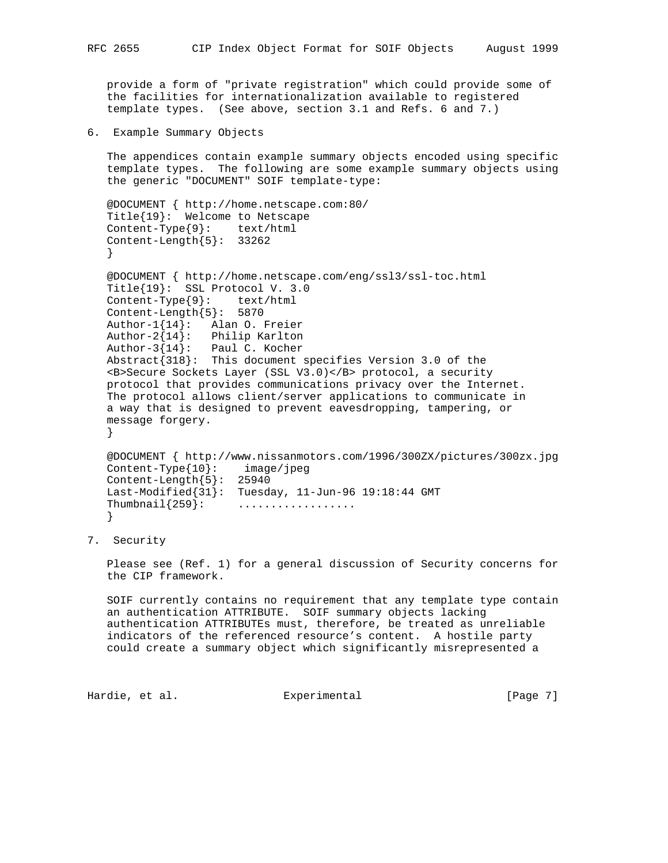provide a form of "private registration" which could provide some of the facilities for internationalization available to registered template types. (See above, section 3.1 and Refs. 6 and 7.)

6. Example Summary Objects

 The appendices contain example summary objects encoded using specific template types. The following are some example summary objects using the generic "DOCUMENT" SOIF template-type:

```
 @DOCUMENT { http://home.netscape.com:80/
   Title{19}: Welcome to Netscape
   Content-Type{9}: text/html
   Content-Length{5}: 33262
 }
```

```
 @DOCUMENT { http://home.netscape.com/eng/ssl3/ssl-toc.html
 Title{19}: SSL Protocol V. 3.0
 Content-Type{9}: text/html
 Content-Length{5}: 5870
 Author-1{14}: Alan O. Freier
 Author-2{14}: Philip Karlton
 Author-3{14}: Paul C. Kocher
 Abstract{318}: This document specifies Version 3.0 of the
 <B>Secure Sockets Layer (SSL V3.0)</B> protocol, a security
 protocol that provides communications privacy over the Internet.
 The protocol allows client/server applications to communicate in
 a way that is designed to prevent eavesdropping, tampering, or
 message forgery.
 }
```

```
 @DOCUMENT { http://www.nissanmotors.com/1996/300ZX/pictures/300zx.jpg
 Content-Type{10}: image/jpeg
 Content-Length{5}: 25940
 Last-Modified{31}: Tuesday, 11-Jun-96 19:18:44 GMT
Thumbnail{259}: .................
 }
```
7. Security

 Please see (Ref. 1) for a general discussion of Security concerns for the CIP framework.

 SOIF currently contains no requirement that any template type contain an authentication ATTRIBUTE. SOIF summary objects lacking authentication ATTRIBUTEs must, therefore, be treated as unreliable indicators of the referenced resource's content. A hostile party could create a summary object which significantly misrepresented a

Hardie, et al. Subsection Experimental Fage 7]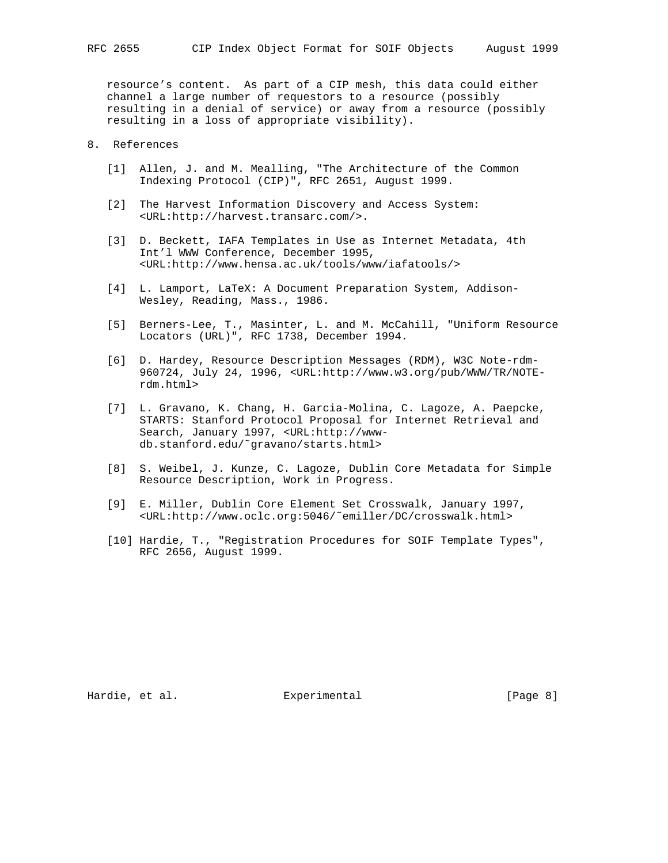resource's content. As part of a CIP mesh, this data could either channel a large number of requestors to a resource (possibly resulting in a denial of service) or away from a resource (possibly resulting in a loss of appropriate visibility).

# 8. References

- [1] Allen, J. and M. Mealling, "The Architecture of the Common Indexing Protocol (CIP)", RFC 2651, August 1999.
- [2] The Harvest Information Discovery and Access System: <URL:http://harvest.transarc.com/>.
- [3] D. Beckett, IAFA Templates in Use as Internet Metadata, 4th Int'l WWW Conference, December 1995, <URL:http://www.hensa.ac.uk/tools/www/iafatools/>
- [4] L. Lamport, LaTeX: A Document Preparation System, Addison- Wesley, Reading, Mass., 1986.
- [5] Berners-Lee, T., Masinter, L. and M. McCahill, "Uniform Resource Locators (URL)", RFC 1738, December 1994.
- [6] D. Hardey, Resource Description Messages (RDM), W3C Note-rdm- 960724, July 24, 1996, <URL:http://www.w3.org/pub/WWW/TR/NOTE rdm.html>
- [7] L. Gravano, K. Chang, H. Garcia-Molina, C. Lagoze, A. Paepcke, STARTS: Stanford Protocol Proposal for Internet Retrieval and Search, January 1997, <URL:http://www db.stanford.edu/˜gravano/starts.html>
- [8] S. Weibel, J. Kunze, C. Lagoze, Dublin Core Metadata for Simple Resource Description, Work in Progress.
- [9] E. Miller, Dublin Core Element Set Crosswalk, January 1997, <URL:http://www.oclc.org:5046/˜emiller/DC/crosswalk.html>
- [10] Hardie, T., "Registration Procedures for SOIF Template Types", RFC 2656, August 1999.

Hardie, et al. Subsection Experimental Experimental [Page 8]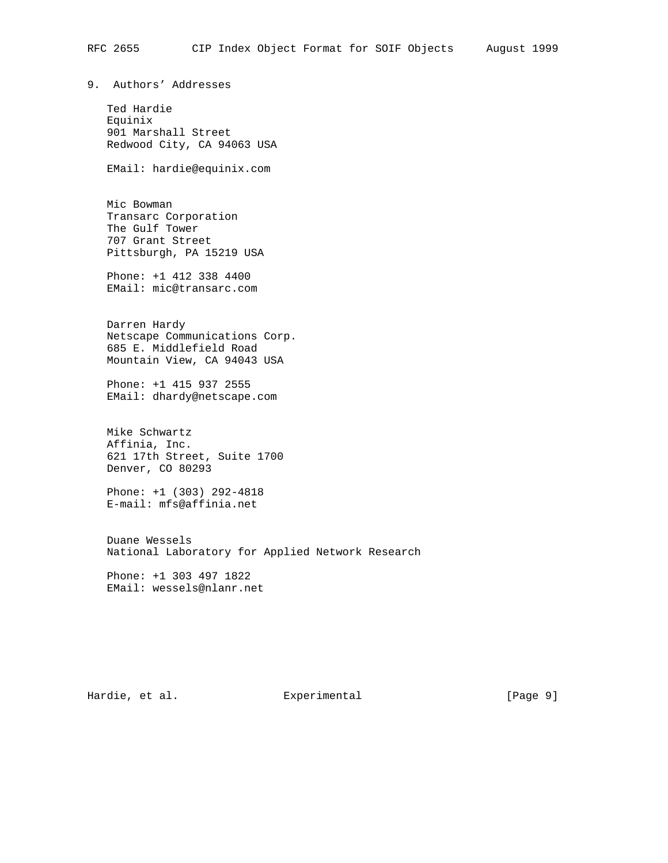9. Authors' Addresses

 Ted Hardie Equinix 901 Marshall Street Redwood City, CA 94063 USA

EMail: hardie@equinix.com

 Mic Bowman Transarc Corporation The Gulf Tower 707 Grant Street Pittsburgh, PA 15219 USA

 Phone: +1 412 338 4400 EMail: mic@transarc.com

 Darren Hardy Netscape Communications Corp. 685 E. Middlefield Road Mountain View, CA 94043 USA

 Phone: +1 415 937 2555 EMail: dhardy@netscape.com

 Mike Schwartz Affinia, Inc. 621 17th Street, Suite 1700 Denver, CO 80293

 Phone: +1 (303) 292-4818 E-mail: mfs@affinia.net

 Duane Wessels National Laboratory for Applied Network Research

 Phone: +1 303 497 1822 EMail: wessels@nlanr.net

Hardie, et al. Subsection Experimental Experimental [Page 9]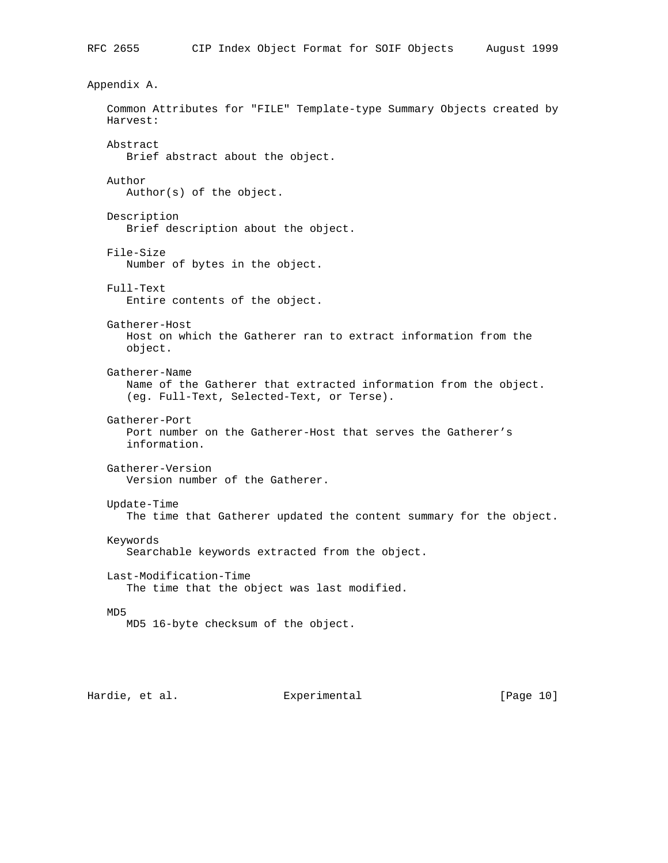Appendix A. Common Attributes for "FILE" Template-type Summary Objects created by Harvest: Abstract Brief abstract about the object. Author Author(s) of the object. Description Brief description about the object. File-Size Number of bytes in the object. Full-Text Entire contents of the object. Gatherer-Host Host on which the Gatherer ran to extract information from the object. Gatherer-Name Name of the Gatherer that extracted information from the object. (eg. Full-Text, Selected-Text, or Terse). Gatherer-Port Port number on the Gatherer-Host that serves the Gatherer's information. Gatherer-Version Version number of the Gatherer. Update-Time The time that Gatherer updated the content summary for the object. Keywords Searchable keywords extracted from the object. Last-Modification-Time The time that the object was last modified. MD5 MD5 16-byte checksum of the object.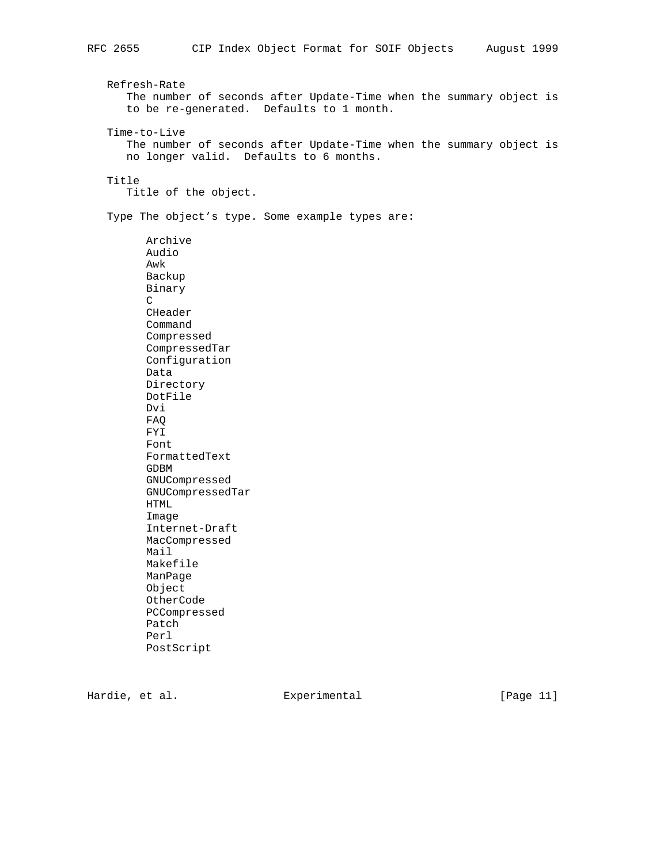Refresh-Rate The number of seconds after Update-Time when the summary object is to be re-generated. Defaults to 1 month.

Time-to-Live

 The number of seconds after Update-Time when the summary object is no longer valid. Defaults to 6 months.

# Title

Title of the object.

Type The object's type. Some example types are:

 Archive Audio Awk Backup Binary C CHeader Command Compressed CompressedTar Configuration Data Directory DotFile Dvi FAQ FYI Font FormattedText GDBM GNUCompressed GNUCompressedTar HTML Image Internet-Draft MacCompressed Mail Makefile ManPage Object OtherCode PCCompressed Patch Perl PostScript

Hardie, et al. Experimental [Page 11]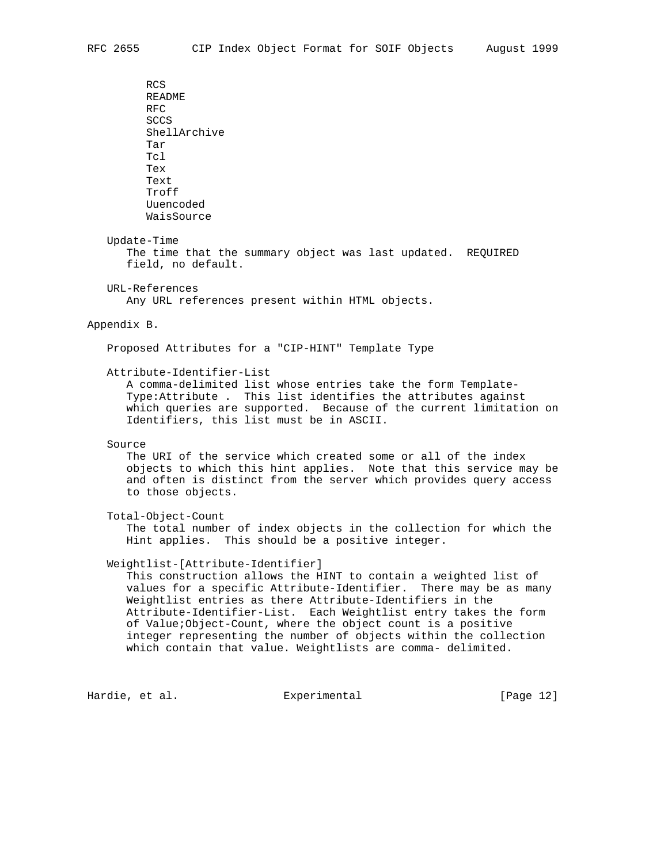RCS README RFC SCCS ShellArchive Tar Tcl Tex Text Troff Uuencoded WaisSource Update-Time The time that the summary object was last updated. REQUIRED field, no default. URL-References Any URL references present within HTML objects. Appendix B. Proposed Attributes for a "CIP-HINT" Template Type Attribute-Identifier-List A comma-delimited list whose entries take the form Template- Type:Attribute . This list identifies the attributes against which queries are supported. Because of the current limitation on Identifiers, this list must be in ASCII. Source The URI of the service which created some or all of the index objects to which this hint applies. Note that this service may be and often is distinct from the server which provides query access to those objects. Total-Object-Count The total number of index objects in the collection for which the Hint applies. This should be a positive integer. Weightlist-[Attribute-Identifier] This construction allows the HINT to contain a weighted list of values for a specific Attribute-Identifier. There may be as many Weightlist entries as there Attribute-Identifiers in the Attribute-Identifier-List. Each Weightlist entry takes the form of Value;Object-Count, where the object count is a positive integer representing the number of objects within the collection

which contain that value. Weightlists are comma- delimited.

Hardie, et al. Experimental [Page 12]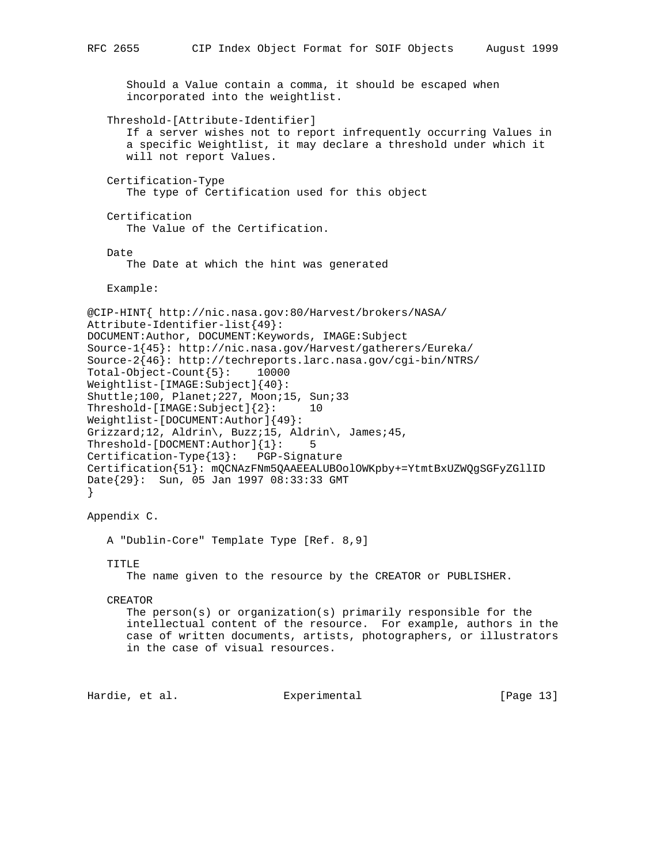```
 Should a Value contain a comma, it should be escaped when
       incorporated into the weightlist.
    Threshold-[Attribute-Identifier]
       If a server wishes not to report infrequently occurring Values in
       a specific Weightlist, it may declare a threshold under which it
       will not report Values.
    Certification-Type
       The type of Certification used for this object
    Certification
       The Value of the Certification.
    Date
       The Date at which the hint was generated
   Example:
@CIP-HINT{ http://nic.nasa.gov:80/Harvest/brokers/NASA/
Attribute-Identifier-list{49}:
DOCUMENT:Author, DOCUMENT:Keywords, IMAGE:Subject
Source-1{45}: http://nic.nasa.gov/Harvest/gatherers/Eureka/
Source-2{46}: http://techreports.larc.nasa.gov/cgi-bin/NTRS/
Total-Object-Count{5}: 10000
Weightlist-[IMAGE:Subject]{40}:
Shuttle;100, Planet;227, Moon;15, Sun;33
Threshold-[IMAGE:Subject]{2}: 10
Weightlist-[DOCUMENT:Author]{49}:
Grizzard;12, Aldrin\, Buzz;15, Aldrin\, James;45,
Threshold-[DOCMENT:Author]{1}: 5
Certification-Type{13}: PGP-Signature
Certification{51}: mQCNAzFNm5QAAEEALUBOolOWKpby+=YtmtBxUZWQgSGFyZGllID
Date{29}: Sun, 05 Jan 1997 08:33:33 GMT
}
Appendix C.
   A "Dublin-Core" Template Type [Ref. 8,9]
```

```
 TITLE
```
The name given to the resource by the CREATOR or PUBLISHER.

```
 CREATOR
```
 The person(s) or organization(s) primarily responsible for the intellectual content of the resource. For example, authors in the case of written documents, artists, photographers, or illustrators in the case of visual resources.

```
Hardie, et al. Subsection Experimental Fage 131
```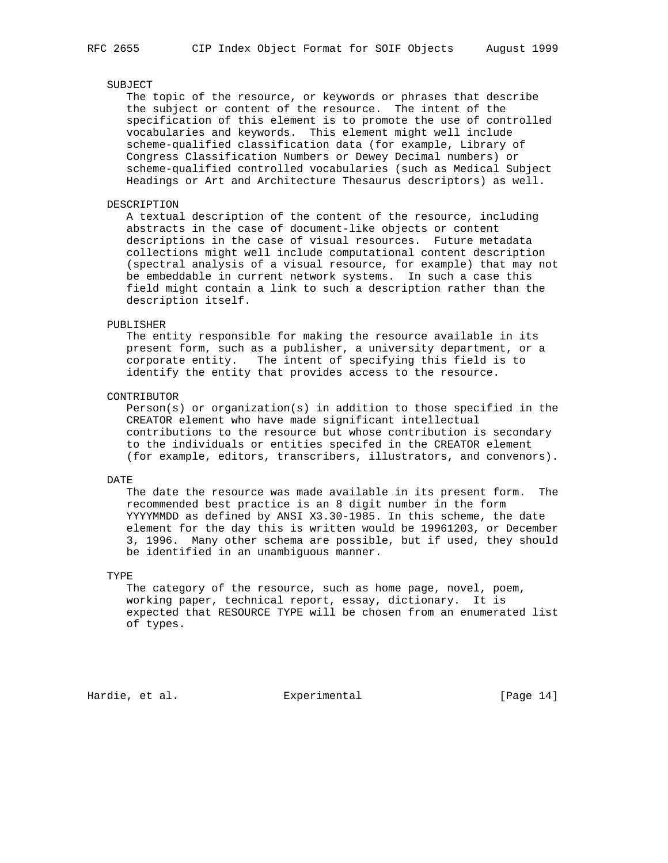### SUBJECT

 The topic of the resource, or keywords or phrases that describe the subject or content of the resource. The intent of the specification of this element is to promote the use of controlled vocabularies and keywords. This element might well include scheme-qualified classification data (for example, Library of Congress Classification Numbers or Dewey Decimal numbers) or scheme-qualified controlled vocabularies (such as Medical Subject Headings or Art and Architecture Thesaurus descriptors) as well.

### DESCRIPTION

 A textual description of the content of the resource, including abstracts in the case of document-like objects or content descriptions in the case of visual resources. Future metadata collections might well include computational content description (spectral analysis of a visual resource, for example) that may not be embeddable in current network systems. In such a case this field might contain a link to such a description rather than the description itself.

#### PUBLISHER

 The entity responsible for making the resource available in its present form, such as a publisher, a university department, or a corporate entity. The intent of specifying this field is to identify the entity that provides access to the resource.

#### CONTRIBUTOR

 Person(s) or organization(s) in addition to those specified in the CREATOR element who have made significant intellectual contributions to the resource but whose contribution is secondary to the individuals or entities specifed in the CREATOR element (for example, editors, transcribers, illustrators, and convenors).

## DATE

 The date the resource was made available in its present form. The recommended best practice is an 8 digit number in the form YYYYMMDD as defined by ANSI X3.30-1985. In this scheme, the date element for the day this is written would be 19961203, or December 3, 1996. Many other schema are possible, but if used, they should be identified in an unambiguous manner.

## TYPE

 The category of the resource, such as home page, novel, poem, working paper, technical report, essay, dictionary. It is expected that RESOURCE TYPE will be chosen from an enumerated list of types.

Hardie, et al. Experimental [Page 14]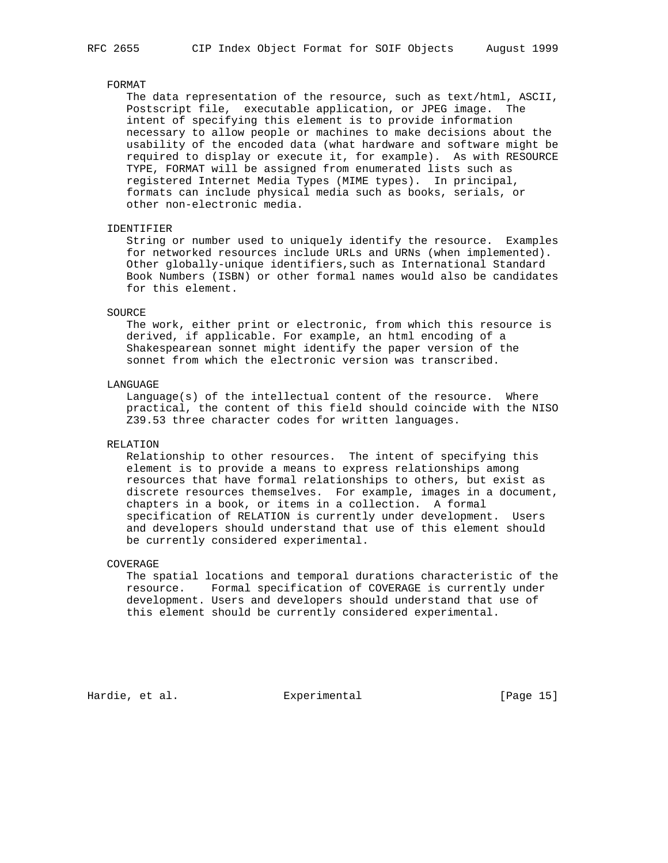## FORMAT

 The data representation of the resource, such as text/html, ASCII, Postscript file, executable application, or JPEG image. The intent of specifying this element is to provide information necessary to allow people or machines to make decisions about the usability of the encoded data (what hardware and software might be required to display or execute it, for example). As with RESOURCE TYPE, FORMAT will be assigned from enumerated lists such as registered Internet Media Types (MIME types). In principal, formats can include physical media such as books, serials, or other non-electronic media.

## IDENTIFIER

 String or number used to uniquely identify the resource. Examples for networked resources include URLs and URNs (when implemented). Other globally-unique identifiers,such as International Standard Book Numbers (ISBN) or other formal names would also be candidates for this element.

#### SOURCE

 The work, either print or electronic, from which this resource is derived, if applicable. For example, an html encoding of a Shakespearean sonnet might identify the paper version of the sonnet from which the electronic version was transcribed.

## LANGUAGE

 Language(s) of the intellectual content of the resource. Where practical, the content of this field should coincide with the NISO Z39.53 three character codes for written languages.

## RELATION

 Relationship to other resources. The intent of specifying this element is to provide a means to express relationships among resources that have formal relationships to others, but exist as discrete resources themselves. For example, images in a document, chapters in a book, or items in a collection. A formal specification of RELATION is currently under development. Users and developers should understand that use of this element should be currently considered experimental.

## COVERAGE

 The spatial locations and temporal durations characteristic of the resource. Formal specification of COVERAGE is currently under development. Users and developers should understand that use of this element should be currently considered experimental.

Hardie, et al. Subsection Experimental Franchise (Page 15)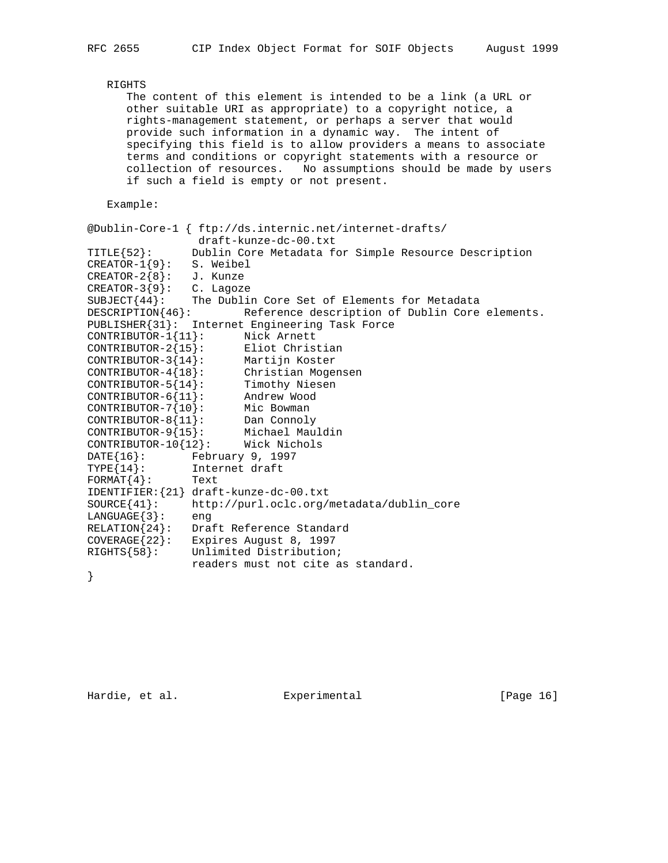```
 RIGHTS
      The content of this element is intended to be a link (a URL or
      other suitable URI as appropriate) to a copyright notice, a
      rights-management statement, or perhaps a server that would
      provide such information in a dynamic way. The intent of
      specifying this field is to allow providers a means to associate
      terms and conditions or copyright statements with a resource or
      collection of resources. No assumptions should be made by users
      if such a field is empty or not present.
   Example:
@Dublin-Core-1 { ftp://ds.internic.net/internet-drafts/
draft-kunze-dc-00.txt<br>TITLE{52}: Dublin Core Metadata fo
             Dublin Core Metadata for Simple Resource Description
CREATOR-1{9}: S. Weibel
CREATOR-2{8}: J. Kunze
CREATOR-3{9}: C. Lagoze
SUBJECT{44}: The Dublin Core Set of Elements for Metadata
DESCRIPTION{46}: Reference description of Dublin Core elements.
PUBLISHER{31}: Internet Engineering Task Force
CONTRIBUTOR-1{11}: Nick Arnett
CONTRIBUTOR-2{15}: Eliot Christian
CONTRIBUTOR-3{14}: Martijn Koster
CONTRIBUTOR-4{18}: Christian Mogensen
CONTRIBUTOR-5{14}: Timothy Niesen
CONTRIBUTOR-6{11}: Andrew Wood
CONTRIBUTOR-7{10}: Mic Bowman
CONTRIBUTOR-8{11}: Dan Connoly
CONTRIBUTOR-9{15}: Michael Mauldin
CONTRIBUTOR-10{12}: Wick Nichols
DATE{16}: February 9, 1997
TYPE{14}: Internet draft
FORMAT{4}: Text
IDENTIFIER:{21} draft-kunze-dc-00.txt
SOURCE{41}: http://purl.oclc.org/metadata/dublin_core
LANGUAGE{3}: eng
RELATION{24}: Draft Reference Standard
COVERAGE{22}: Expires August 8, 1997
RIGHTS{58}: Unlimited Distribution;
               readers must not cite as standard.
```
}

Hardie, et al. Experimental [Page 16]